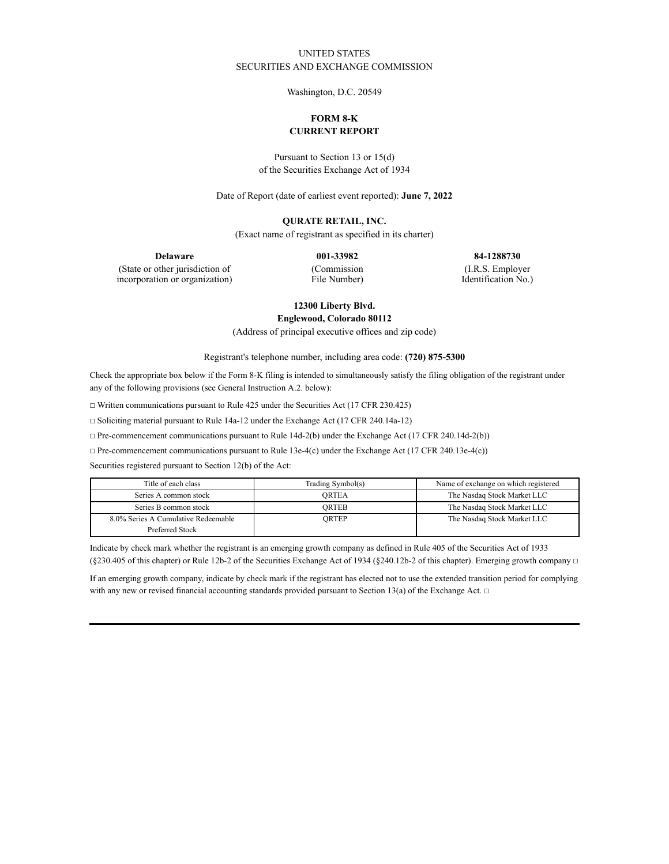## UNITED STATES SECURITIES AND EXCHANGE COMMISSION

Washington, D.C. 20549

# **FORM 8-K CURRENT REPORT**

Pursuant to Section 13 or 15(d) of the Securities Exchange Act of 1934

Date of Report (date of earliest event reported): **June 7, 2022**

### **QURATE RETAIL, INC.**

(Exact name of registrant as specified in its charter)

**Delaware 001-33982 84-1288730** (Commission

(State or other jurisdiction of incorporation or organization)

File Number)

(I.R.S. Employer Identification No.)

**12300 Liberty Blvd.**

**Englewood, Colorado 80112**

(Address of principal executive offices and zip code)

Registrant's telephone number, including area code: **(720) 875-5300**

Check the appropriate box below if the Form 8-K filing is intended to simultaneously satisfy the filing obligation of the registrant under any of the following provisions (see General Instruction A.2. below):

☐ Written communications pursuant to Rule 425 under the Securities Act (17 CFR 230.425)

☐ Soliciting material pursuant to Rule 14a-12 under the Exchange Act (17 CFR 240.14a-12)

☐ Pre-commencement communications pursuant to Rule 14d-2(b) under the Exchange Act (17 CFR 240.14d-2(b))

☐ Pre-commencement communications pursuant to Rule 13e-4(c) under the Exchange Act (17 CFR 240.13e-4(c))

Securities registered pursuant to Section 12(b) of the Act:

| Title of each class                 | Trading Symbol(s) | Name of exchange on which registered |
|-------------------------------------|-------------------|--------------------------------------|
| Series A common stock               | <b>ORTEA</b>      | The Nasdaq Stock Market LLC          |
| Series B common stock               | ORTEB             | The Nasdaq Stock Market LLC          |
| 8.0% Series A Cumulative Redeemable | ORTEP             | The Nasdaq Stock Market LLC          |
| Preferred Stock                     |                   |                                      |

Indicate by check mark whether the registrant is an emerging growth company as defined in Rule 405 of the Securities Act of 1933 (§230.405 of this chapter) or Rule 12b-2 of the Securities Exchange Act of 1934 (§240.12b-2 of this chapter). Emerging growth company  $\Box$ 

If an emerging growth company, indicate by check mark if the registrant has elected not to use the extended transition period for complying with any new or revised financial accounting standards provided pursuant to Section 13(a) of the Exchange Act.  $\Box$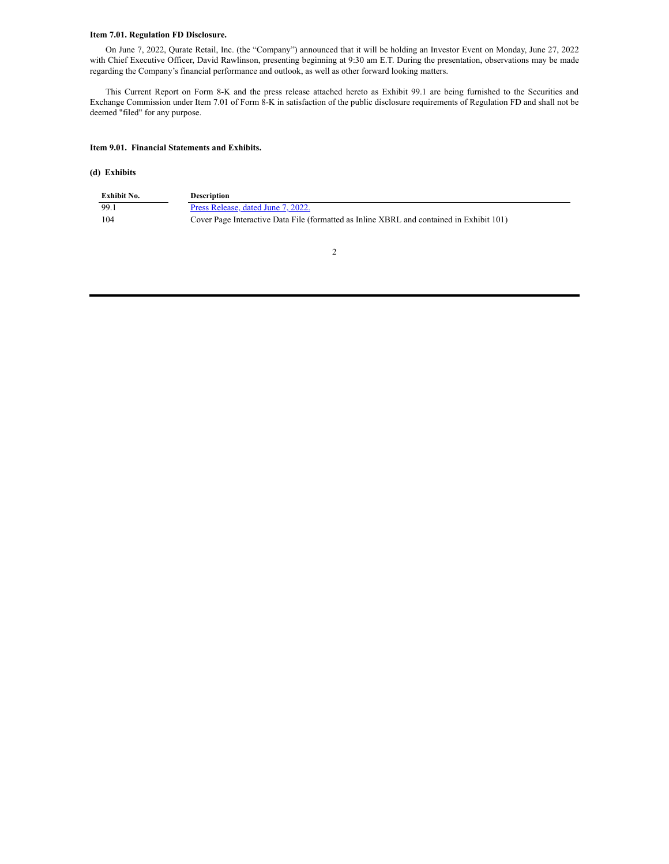### **Item 7.01. Regulation FD Disclosure.**

On June 7, 2022, Qurate Retail, Inc. (the "Company") announced that it will be holding an Investor Event on Monday, June 27, 2022 with Chief Executive Officer, David Rawlinson, presenting beginning at 9:30 am E.T. During the presentation, observations may be made regarding the Company's financial performance and outlook, as well as other forward looking matters.

This Current Report on Form 8-K and the press release attached hereto as Exhibit 99.1 are being furnished to the Securities and Exchange Commission under Item 7.01 of Form 8-K in satisfaction of the public disclosure requirements of Regulation FD and shall not be deemed "filed" for any purpose.

### **Item 9.01. Financial Statements and Exhibits.**

#### **(d) Exhibits**

| Exhibit No. | <b>Description</b>                                                                       |
|-------------|------------------------------------------------------------------------------------------|
| -99.1       | Press Release, dated June 7, 2022.                                                       |
| -104        | Cover Page Interactive Data File (formatted as Inline XBRL and contained in Exhibit 101) |

2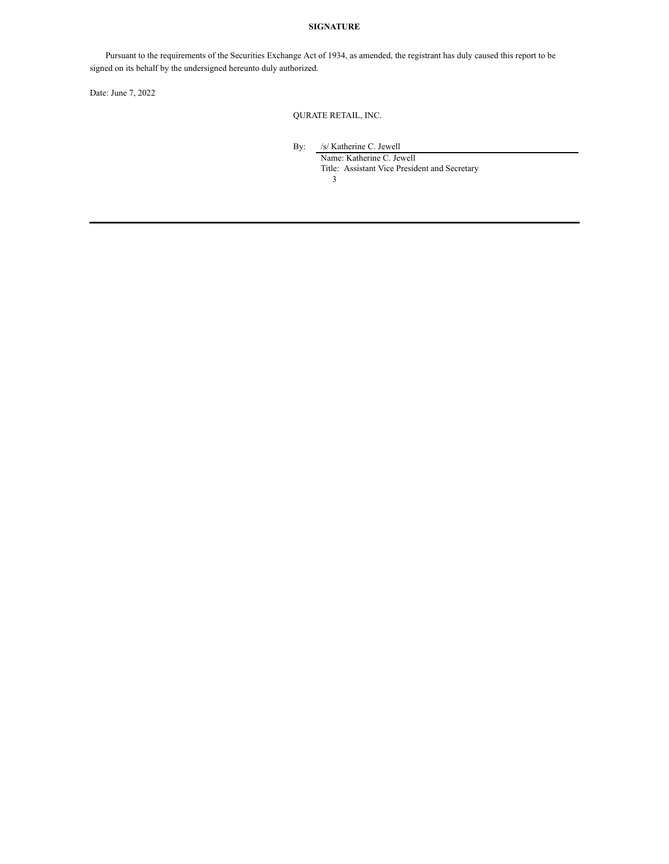## **SIGNATURE**

Pursuant to the requirements of the Securities Exchange Act of 1934, as amended, the registrant has duly caused this report to be signed on its behalf by the undersigned hereunto duly authorized.

Date: June 7, 2022

QURATE RETAIL, INC.

By: /s/ Katherine C. Jewell

Name: Katherine C. Jewell Title: Assistant Vice President and Secretary

3